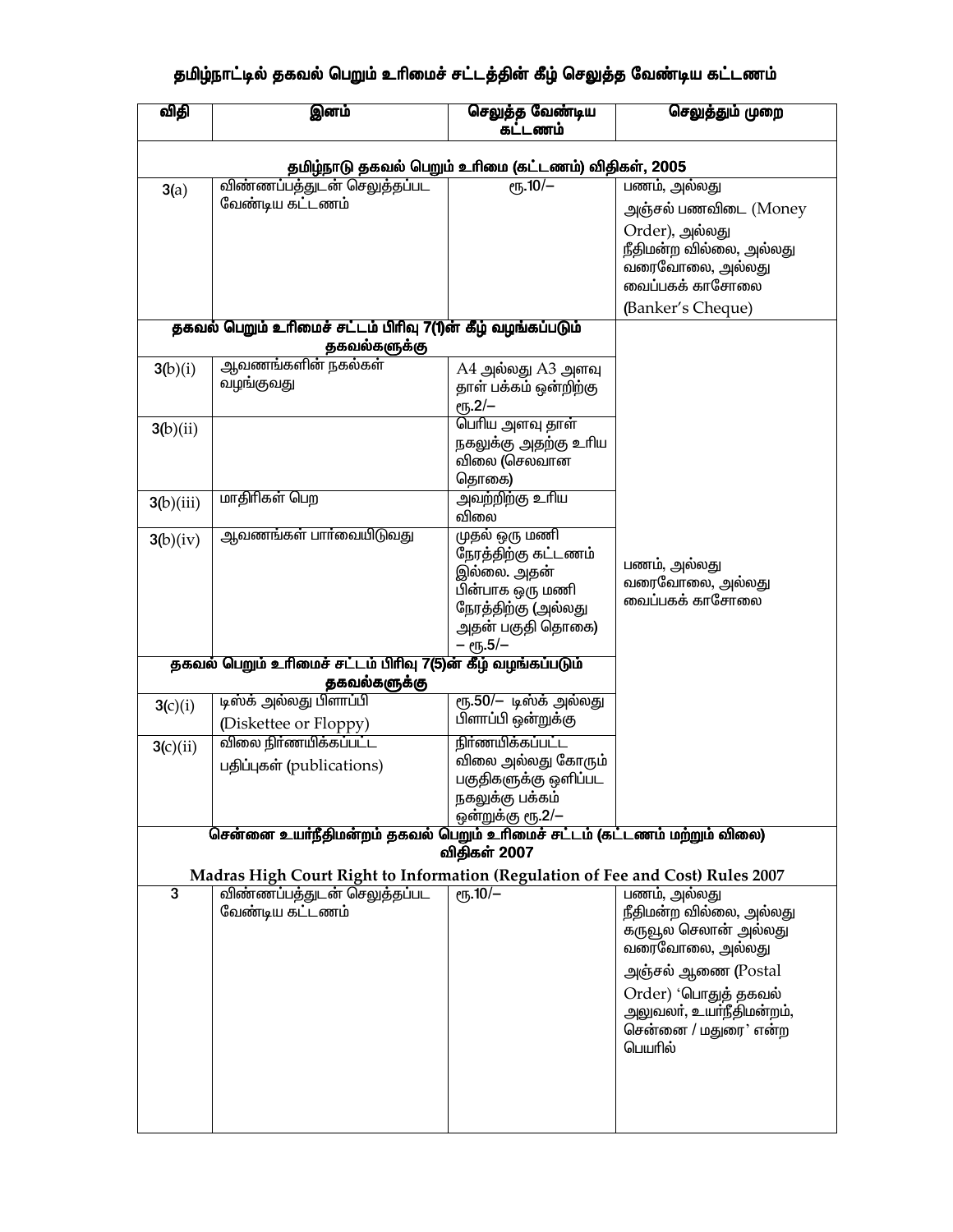## தமிழ்நாட்டில் தகவல் பெறும் உரிமைச் சட்டத்தின் கீழ் செலுத்த வேண்டிய கட்டணம்

| விதி                                                                        | இனம்                                                                           | செலுத்த வேண்டிய<br>கட்டணம்              | செலுத்தும் முறை                                 |  |  |
|-----------------------------------------------------------------------------|--------------------------------------------------------------------------------|-----------------------------------------|-------------------------------------------------|--|--|
| தமிழ்நாடு தகவல் பெறும் உரிமை (கட்டணம்) விதிகள், 2005                        |                                                                                |                                         |                                                 |  |  |
| 3(a)                                                                        | விண்ணப்பத்துடன் செலுத்தப்பட                                                    | $e\overline{r_{b}}.10/-$                | பணம், அல்லது                                    |  |  |
|                                                                             | வேண்டிய கட்டணம்                                                                |                                         | அஞ்சல் பணவிடை (Money                            |  |  |
|                                                                             |                                                                                |                                         | Order), அல்லது                                  |  |  |
|                                                                             |                                                                                |                                         | நீதிமன்ற வில்லை, அல்லது                         |  |  |
|                                                                             |                                                                                |                                         | வரைவோலை, அல்லது                                 |  |  |
|                                                                             |                                                                                |                                         | வைப்பகக் காசோலை                                 |  |  |
|                                                                             |                                                                                |                                         | (Banker's Cheque)                               |  |  |
| தகவல் பெறும் உரிமைச் சட்டம் பிரிவு 7(1)ன் கீழ் வழங்கப்படும்<br>தகவல்களுக்கு |                                                                                |                                         |                                                 |  |  |
| 3(b)(i)                                                                     | ஆவணங்களின் நகல்கள்                                                             | $A4$ அல்லது $A3$ அளவு                   |                                                 |  |  |
|                                                                             | வழங்குவது                                                                      | தாள் பக்கம் ஒன்றிற்கு                   |                                                 |  |  |
|                                                                             |                                                                                | $e$ <sup>1</sup> 5.2/-                  |                                                 |  |  |
| 3(b)(ii)                                                                    |                                                                                | பெரிய அளவு தாள்<br>நகலுக்கு அதற்கு உரிய |                                                 |  |  |
|                                                                             |                                                                                | விலை (செலவான                            |                                                 |  |  |
|                                                                             |                                                                                | தொகை)                                   |                                                 |  |  |
| 3(b)(iii)                                                                   | மாதிரிகள் பெற                                                                  | அவற்றிற்கு உரிய                         |                                                 |  |  |
|                                                                             |                                                                                | விலை                                    |                                                 |  |  |
| 3(b)(iv)                                                                    | ஆவணங்கள் பாா்வையிடுவது                                                         | முதல் ஒரு மணி                           |                                                 |  |  |
|                                                                             |                                                                                | நேரத்திற்கு கட்டணம்<br>இல்லை. அதன்      | பணம், அல்லது                                    |  |  |
|                                                                             |                                                                                | பின்பாக ஒரு மணி                         | வரைவோலை, அல்லது                                 |  |  |
|                                                                             |                                                                                | நேரத்திற்கு (அல்லது                     | வைப்பகக் காசோலை                                 |  |  |
|                                                                             |                                                                                | அதன் பகுதி தொகை)                        |                                                 |  |  |
|                                                                             |                                                                                | – ரூ.5/–                                |                                                 |  |  |
| தகவல் பெறும் உரிமைச் சட்டம் பிரிவு 7(5)ன் கீழ் வழங்கப்படும்<br>தகவல்களுக்கு |                                                                                |                                         |                                                 |  |  |
| 3(c)(i)                                                                     | டிஸ்க் அல்லது பிளாப்பி                                                         | ரூ.50/– டிஸ்க் அல்லது                   |                                                 |  |  |
|                                                                             | (Diskettee or Floppy)                                                          | பிளாப்பி ஒன்றுக்கு                      |                                                 |  |  |
| 3(c)(ii)                                                                    | விலை நிா்ணயிக்கப்பட்ட                                                          | நிர்ணயிக்கப்பட்ட                        |                                                 |  |  |
|                                                                             | பதிப்புகள் (publications)                                                      | விலை அல்லது கோரும்                      |                                                 |  |  |
|                                                                             |                                                                                | பகுதிகளுக்கு ஒளிப்பட                    |                                                 |  |  |
|                                                                             |                                                                                | நகலுக்கு பக்கம்<br>ஒன்றுக்கு ரூ.2/–     |                                                 |  |  |
|                                                                             | சென்னை உயர்நீதிமன்றம் தகவல் பெறும் உரிமைச் சட்டம் (கட்டணம் மற்றும் விலை)       |                                         |                                                 |  |  |
| விதிகள் 2007                                                                |                                                                                |                                         |                                                 |  |  |
|                                                                             | Madras High Court Right to Information (Regulation of Fee and Cost) Rules 2007 |                                         |                                                 |  |  |
| 3                                                                           | விண்ணப்பத்துடன் செலுத்தப்பட                                                    | $\rm e$ rz, 10/-                        | பணம், அல்லது                                    |  |  |
|                                                                             | வேண்டிய கட்டணம்                                                                |                                         | நீதிமன்ற வில்லை, அல்லது<br>கருவூல செலான் அல்லது |  |  |
|                                                                             |                                                                                |                                         | வரைவோலை, அல்லது                                 |  |  |
|                                                                             |                                                                                |                                         | அஞ்சல் ஆணை (Postal                              |  |  |
|                                                                             |                                                                                |                                         | Order) 'பொதுத் தகவல்                            |  |  |
|                                                                             |                                                                                |                                         | அலுவலா், உயா்நீதிமன்றம்,                        |  |  |
|                                                                             |                                                                                |                                         | சென்னை / மதுரை' என்ற                            |  |  |
|                                                                             |                                                                                |                                         | பெயரில்                                         |  |  |
|                                                                             |                                                                                |                                         |                                                 |  |  |
|                                                                             |                                                                                |                                         |                                                 |  |  |
|                                                                             |                                                                                |                                         |                                                 |  |  |